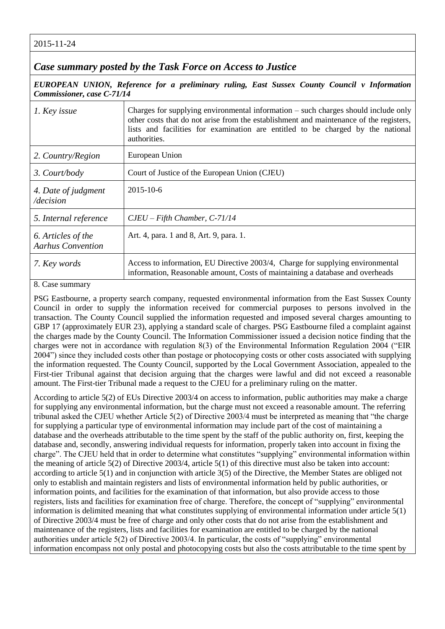2015-11-24

*Case summary posted by the Task Force on Access to Justice*

*EUROPEAN UNION, Reference for a preliminary ruling, East Sussex County Council v Information Commissioner, case C-71/14*

| 1. Key issue                                   | Charges for supplying environmental information – such charges should include only<br>other costs that do not arise from the establishment and maintenance of the registers,<br>lists and facilities for examination are entitled to be charged by the national<br>authorities. |
|------------------------------------------------|---------------------------------------------------------------------------------------------------------------------------------------------------------------------------------------------------------------------------------------------------------------------------------|
| 2. Country/Region                              | European Union                                                                                                                                                                                                                                                                  |
| 3. Court/body                                  | Court of Justice of the European Union (CJEU)                                                                                                                                                                                                                                   |
| 4. Date of judgment<br>/decision               | $2015 - 10 - 6$                                                                                                                                                                                                                                                                 |
| 5. Internal reference                          | $CJEU - Fifth$ Chamber, $C-71/14$                                                                                                                                                                                                                                               |
| 6. Articles of the<br><b>Aarhus Convention</b> | Art. 4, para. 1 and 8, Art. 9, para. 1.                                                                                                                                                                                                                                         |
| 7. Key words                                   | Access to information, EU Directive 2003/4, Charge for supplying environmental<br>information, Reasonable amount, Costs of maintaining a database and overheads                                                                                                                 |

8. Case summary

PSG Eastbourne, a property search company, requested environmental information from the East Sussex County Council in order to supply the information received for commercial purposes to persons involved in the transaction. The County Council supplied the information requested and imposed several charges amounting to GBP 17 (approximately EUR 23), applying a standard scale of charges. PSG Eastbourne filed a complaint against the charges made by the County Council. The Information Commissioner issued a decision notice finding that the charges were not in accordance with regulation 8(3) of the Environmental Information Regulation 2004 ("EIR 2004") since they included costs other than postage or photocopying costs or other costs associated with supplying the information requested. The County Council, supported by the Local Government Association, appealed to the First-tier Tribunal against that decision arguing that the charges were lawful and did not exceed a reasonable amount. The First-tier Tribunal made a request to the CJEU for a preliminary ruling on the matter.

According to article 5(2) of EUs Directive 2003/4 on access to information, public authorities may make a charge for supplying any environmental information, but the charge must not exceed a reasonable amount. The referring tribunal asked the CJEU whether Article 5(2) of Directive 2003/4 must be interpreted as meaning that "the charge for supplying a particular type of environmental information may include part of the cost of maintaining a database and the overheads attributable to the time spent by the staff of the public authority on, first, keeping the database and, secondly, answering individual requests for information, properly taken into account in fixing the charge". The CJEU held that in order to determine what constitutes "supplying" environmental information within the meaning of article 5(2) of Directive 2003/4, article 5(1) of this directive must also be taken into account: according to article 5(1) and in conjunction with article 3(5) of the Directive, the Member States are obliged not only to establish and maintain registers and lists of environmental information held by public authorities, or information points, and facilities for the examination of that information, but also provide access to those registers, lists and facilities for examination free of charge. Therefore, the concept of "supplying" environmental information is delimited meaning that what constitutes supplying of environmental information under article 5(1) of Directive 2003/4 must be free of charge and only other costs that do not arise from the establishment and maintenance of the registers, lists and facilities for examination are entitled to be charged by the national authorities under article 5(2) of Directive 2003/4. In particular, the costs of "supplying" environmental information encompass not only postal and photocopying costs but also the costs attributable to the time spent by